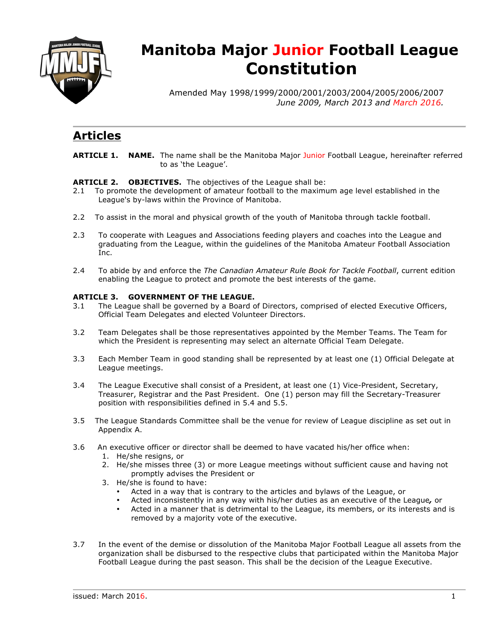

# **Manitoba Major Junior Football League Constitution**

Amended May 1998/1999/2000/2001/2003/2004/2005/2006/2007 *June 2009, March 2013 and March 2016.*

## **Articles**

**ARTICLE 1. NAME.** The name shall be the Manitoba Major Junior Football League, hereinafter referred to as 'the League'.

**ARTICLE 2. OBJECTIVES.** The objectives of the League shall be:

- 2.1 To promote the development of amateur football to the maximum age level established in the League's by-laws within the Province of Manitoba.
- 2.2 To assist in the moral and physical growth of the youth of Manitoba through tackle football.
- 2.3 To cooperate with Leagues and Associations feeding players and coaches into the League and graduating from the League, within the guidelines of the Manitoba Amateur Football Association Inc.
- 2.4 To abide by and enforce the *The Canadian Amateur Rule Book for Tackle Football*, current edition enabling the League to protect and promote the best interests of the game.

#### **ARTICLE 3. GOVERNMENT OF THE LEAGUE.**

- 3.1 The League shall be governed by a Board of Directors, comprised of elected Executive Officers, Official Team Delegates and elected Volunteer Directors.
- 3.2 Team Delegates shall be those representatives appointed by the Member Teams. The Team for which the President is representing may select an alternate Official Team Delegate.
- 3.3 Each Member Team in good standing shall be represented by at least one (1) Official Delegate at League meetings.
- 3.4 The League Executive shall consist of a President, at least one (1) Vice-President, Secretary, Treasurer, Registrar and the Past President. One (1) person may fill the Secretary-Treasurer position with responsibilities defined in 5.4 and 5.5.
- 3.5 The League Standards Committee shall be the venue for review of League discipline as set out in Appendix A.
- 3.6 An executive officer or director shall be deemed to have vacated his/her office when:
	- 1. He/she resigns, or
	- 2. He/she misses three (3) or more League meetings without sufficient cause and having not promptly advises the President or
	- 3. He/she is found to have:
		- Acted in a way that is contrary to the articles and bylaws of the League, or
		- Acted inconsistently in any way with his/her duties as an executive of the League*,* or
		- Acted in a manner that is detrimental to the League, its members, or its interests and is removed by a majority vote of the executive.
- 3.7 In the event of the demise or dissolution of the Manitoba Major Football League all assets from the organization shall be disbursed to the respective clubs that participated within the Manitoba Major Football League during the past season. This shall be the decision of the League Executive.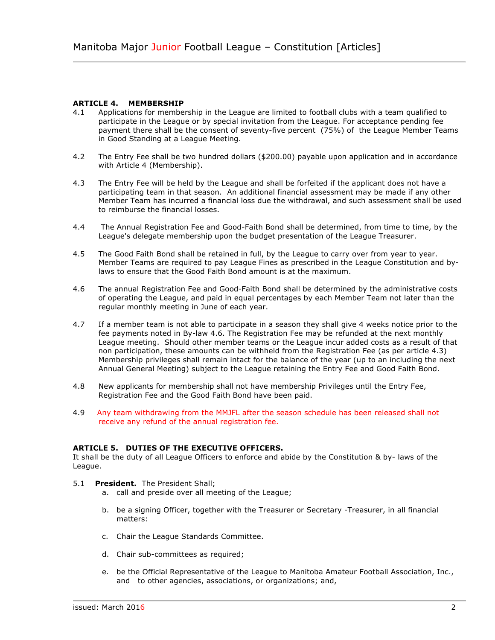#### **ARTICLE 4. MEMBERSHIP**

- 4.1 Applications for membership in the League are limited to football clubs with a team qualified to participate in the League or by special invitation from the League. For acceptance pending fee payment there shall be the consent of seventy-five percent (75%) of the League Member Teams in Good Standing at a League Meeting.
- 4.2 The Entry Fee shall be two hundred dollars (\$200.00) payable upon application and in accordance with Article 4 (Membership).
- 4.3 The Entry Fee will be held by the League and shall be forfeited if the applicant does not have a participating team in that season. An additional financial assessment may be made if any other Member Team has incurred a financial loss due the withdrawal, and such assessment shall be used to reimburse the financial losses.
- 4.4 The Annual Registration Fee and Good-Faith Bond shall be determined, from time to time, by the League's delegate membership upon the budget presentation of the League Treasurer.
- 4.5 The Good Faith Bond shall be retained in full, by the League to carry over from year to year. Member Teams are required to pay League Fines as prescribed in the League Constitution and bylaws to ensure that the Good Faith Bond amount is at the maximum.
- 4.6 The annual Registration Fee and Good-Faith Bond shall be determined by the administrative costs of operating the League, and paid in equal percentages by each Member Team not later than the regular monthly meeting in June of each year.
- 4.7 If a member team is not able to participate in a season they shall give 4 weeks notice prior to the fee payments noted in By-law 4.6. The Registration Fee may be refunded at the next monthly League meeting. Should other member teams or the League incur added costs as a result of that non participation, these amounts can be withheld from the Registration Fee (as per article 4.3) Membership privileges shall remain intact for the balance of the year (up to an including the next Annual General Meeting) subject to the League retaining the Entry Fee and Good Faith Bond.
- 4.8 New applicants for membership shall not have membership Privileges until the Entry Fee, Registration Fee and the Good Faith Bond have been paid.
- 4.9 Any team withdrawing from the MMJFL after the season schedule has been released shall not receive any refund of the annual registration fee.

#### **ARTICLE 5. DUTIES OF THE EXECUTIVE OFFICERS.**

It shall be the duty of all League Officers to enforce and abide by the Constitution & by- laws of the League.

- 5.1 **President.** The President Shall;
	- a. call and preside over all meeting of the League;
	- b. be a signing Officer, together with the Treasurer or Secretary -Treasurer, in all financial matters:
	- c. Chair the League Standards Committee.
	- d. Chair sub-committees as required;
	- e. be the Official Representative of the League to Manitoba Amateur Football Association, Inc., and to other agencies, associations, or organizations; and,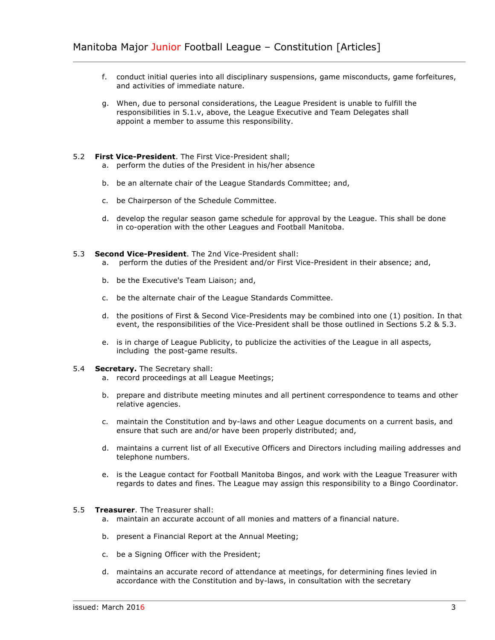- f. conduct initial queries into all disciplinary suspensions, game misconducts, game forfeitures, and activities of immediate nature.
- g. When, due to personal considerations, the League President is unable to fulfill the responsibilities in 5.1.v, above, the League Executive and Team Delegates shall appoint a member to assume this responsibility.

#### 5.2 **First Vice-President**. The First Vice-President shall;

- a. perform the duties of the President in his/her absence
- b. be an alternate chair of the League Standards Committee; and,
- c. be Chairperson of the Schedule Committee.
- d. develop the regular season game schedule for approval by the League. This shall be done in co-operation with the other Leagues and Football Manitoba.

#### 5.3 **Second Vice-President**. The 2nd Vice-President shall:

- a. perform the duties of the President and/or First Vice-President in their absence; and,
- b. be the Executive's Team Liaison; and,
- c. be the alternate chair of the League Standards Committee.
- d. the positions of First & Second Vice-Presidents may be combined into one (1) position. In that event, the responsibilities of the Vice-President shall be those outlined in Sections 5.2 & 5.3.
- e. is in charge of League Publicity, to publicize the activities of the League in all aspects, including the post-game results.

#### 5.4 **Secretary.** The Secretary shall:

- a. record proceedings at all League Meetings;
- b. prepare and distribute meeting minutes and all pertinent correspondence to teams and other relative agencies.
- c. maintain the Constitution and by-laws and other League documents on a current basis, and ensure that such are and/or have been properly distributed; and,
- d. maintains a current list of all Executive Officers and Directors including mailing addresses and telephone numbers.
- e. is the League contact for Football Manitoba Bingos, and work with the League Treasurer with regards to dates and fines. The League may assign this responsibility to a Bingo Coordinator.

#### 5.5 **Treasurer**. The Treasurer shall:

- a. maintain an accurate account of all monies and matters of a financial nature.
- b. present a Financial Report at the Annual Meeting;
- c. be a Signing Officer with the President;
- d. maintains an accurate record of attendance at meetings, for determining fines levied in accordance with the Constitution and by-laws, in consultation with the secretary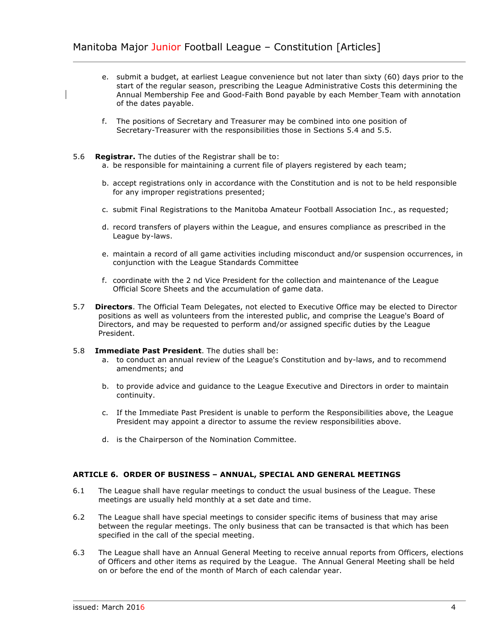- e. submit a budget, at earliest League convenience but not later than sixty (60) days prior to the start of the regular season, prescribing the League Administrative Costs this determining the Annual Membership Fee and Good-Faith Bond payable by each Member Team with annotation of the dates payable.
- f. The positions of Secretary and Treasurer may be combined into one position of Secretary-Treasurer with the responsibilities those in Sections 5.4 and 5.5.
- 5.6 **Registrar.** The duties of the Registrar shall be to:
	- a. be responsible for maintaining a current file of players registered by each team;
	- b. accept registrations only in accordance with the Constitution and is not to be held responsible for any improper registrations presented;
	- c. submit Final Registrations to the Manitoba Amateur Football Association Inc., as requested;
	- d. record transfers of players within the League, and ensures compliance as prescribed in the League by-laws.
	- e. maintain a record of all game activities including misconduct and/or suspension occurrences, in conjunction with the League Standards Committee
	- f. coordinate with the 2 nd Vice President for the collection and maintenance of the League Official Score Sheets and the accumulation of game data.
- 5.7 **Directors**. The Official Team Delegates, not elected to Executive Office may be elected to Director positions as well as volunteers from the interested public, and comprise the League's Board of Directors, and may be requested to perform and/or assigned specific duties by the League President.
- 5.8 **Immediate Past President**. The duties shall be:
	- a. to conduct an annual review of the League's Constitution and by-laws, and to recommend amendments; and
	- b. to provide advice and guidance to the League Executive and Directors in order to maintain continuity.
	- c. If the Immediate Past President is unable to perform the Responsibilities above, the League President may appoint a director to assume the review responsibilities above.
	- d. is the Chairperson of the Nomination Committee.

#### **ARTICLE 6. ORDER OF BUSINESS – ANNUAL, SPECIAL AND GENERAL MEETINGS**

- 6.1 The League shall have regular meetings to conduct the usual business of the League. These meetings are usually held monthly at a set date and time.
- 6.2 The League shall have special meetings to consider specific items of business that may arise between the regular meetings. The only business that can be transacted is that which has been specified in the call of the special meeting.
- 6.3 The League shall have an Annual General Meeting to receive annual reports from Officers, elections of Officers and other items as required by the League. The Annual General Meeting shall be held on or before the end of the month of March of each calendar year.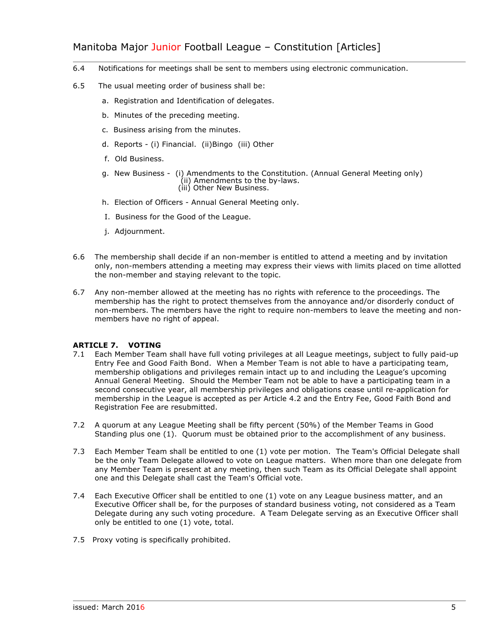### Manitoba Major Junior Football League - Constitution [Articles]

- 6.4 Notifications for meetings shall be sent to members using electronic communication.
- 6.5 The usual meeting order of business shall be:
	- a. Registration and Identification of delegates.
	- b. Minutes of the preceding meeting.
	- c. Business arising from the minutes.
	- d. Reports (i) Financial. (ii)Bingo (iii) Other
	- f. Old Business.
	- g. New Business (i) Amendments to the Constitution. (Annual General Meeting only) (ii) Amendments to the by-laws. (iii) Other New Business.
	- h. Election of Officers Annual General Meeting only.
	- I. Business for the Good of the League.
	- j. Adjournment.
- 6.6 The membership shall decide if an non-member is entitled to attend a meeting and by invitation only, non-members attending a meeting may express their views with limits placed on time allotted the non-member and staying relevant to the topic.
- 6.7 Any non-member allowed at the meeting has no rights with reference to the proceedings. The membership has the right to protect themselves from the annoyance and/or disorderly conduct of non-members. The members have the right to require non-members to leave the meeting and nonmembers have no right of appeal.

#### **ARTICLE 7. VOTING**

- 7.1 Each Member Team shall have full voting privileges at all League meetings, subject to fully paid-up Entry Fee and Good Faith Bond. When a Member Team is not able to have a participating team, membership obligations and privileges remain intact up to and including the League's upcoming Annual General Meeting. Should the Member Team not be able to have a participating team in a second consecutive year, all membership privileges and obligations cease until re-application for membership in the League is accepted as per Article 4.2 and the Entry Fee, Good Faith Bond and Registration Fee are resubmitted.
- 7.2 A quorum at any League Meeting shall be fifty percent (50%) of the Member Teams in Good Standing plus one (1). Quorum must be obtained prior to the accomplishment of any business.
- 7.3 Each Member Team shall be entitled to one (1) vote per motion. The Team's Official Delegate shall be the only Team Delegate allowed to vote on League matters. When more than one delegate from any Member Team is present at any meeting, then such Team as its Official Delegate shall appoint one and this Delegate shall cast the Team's Official vote.
- 7.4 Each Executive Officer shall be entitled to one (1) vote on any League business matter, and an Executive Officer shall be, for the purposes of standard business voting, not considered as a Team Delegate during any such voting procedure. A Team Delegate serving as an Executive Officer shall only be entitled to one (1) vote, total.
- 7.5 Proxy voting is specifically prohibited.